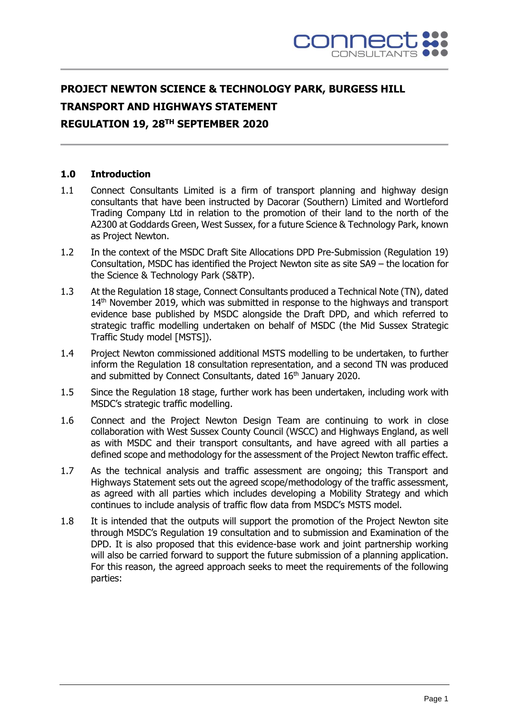

# **PROJECT NEWTON SCIENCE & TECHNOLOGY PARK, BURGESS HILL TRANSPORT AND HIGHWAYS STATEMENT REGULATION 19, 28TH SEPTEMBER 2020**

## **1.0 Introduction**

- 1.1 Connect Consultants Limited is a firm of transport planning and highway design consultants that have been instructed by Dacorar (Southern) Limited and Wortleford Trading Company Ltd in relation to the promotion of their land to the north of the A2300 at Goddards Green, West Sussex, for a future Science & Technology Park, known as Project Newton.
- 1.2 In the context of the MSDC Draft Site Allocations DPD Pre-Submission (Regulation 19) Consultation, MSDC has identified the Project Newton site as site SA9 – the location for the Science & Technology Park (S&TP).
- 1.3 At the Regulation 18 stage, Connect Consultants produced a Technical Note (TN), dated 14<sup>th</sup> November 2019, which was submitted in response to the highways and transport evidence base published by MSDC alongside the Draft DPD, and which referred to strategic traffic modelling undertaken on behalf of MSDC (the Mid Sussex Strategic Traffic Study model [MSTS]).
- 1.4 Project Newton commissioned additional MSTS modelling to be undertaken, to further inform the Regulation 18 consultation representation, and a second TN was produced and submitted by Connect Consultants, dated 16<sup>th</sup> January 2020.
- 1.5 Since the Regulation 18 stage, further work has been undertaken, including work with MSDC's strategic traffic modelling.
- 1.6 Connect and the Project Newton Design Team are continuing to work in close collaboration with West Sussex County Council (WSCC) and Highways England, as well as with MSDC and their transport consultants, and have agreed with all parties a defined scope and methodology for the assessment of the Project Newton traffic effect.
- 1.7 As the technical analysis and traffic assessment are ongoing; this Transport and Highways Statement sets out the agreed scope/methodology of the traffic assessment, as agreed with all parties which includes developing a Mobility Strategy and which continues to include analysis of traffic flow data from MSDC's MSTS model.
- 1.8 It is intended that the outputs will support the promotion of the Project Newton site through MSDC's Regulation 19 consultation and to submission and Examination of the DPD. It is also proposed that this evidence-base work and joint partnership working will also be carried forward to support the future submission of a planning application. For this reason, the agreed approach seeks to meet the requirements of the following parties: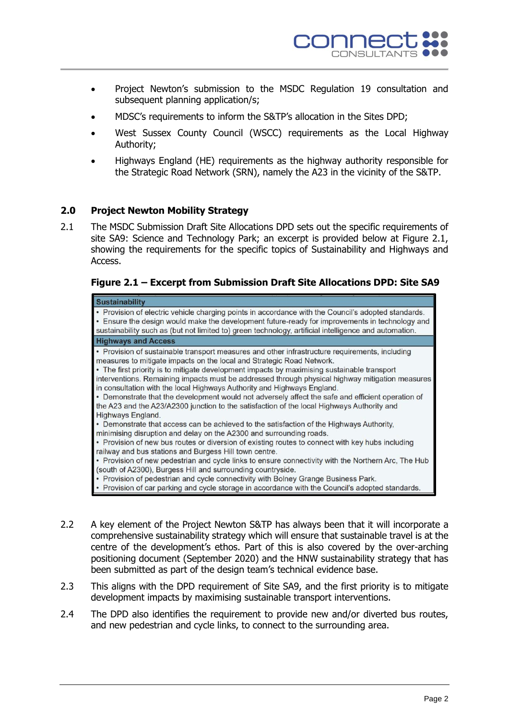

- Project Newton's submission to the MSDC Regulation 19 consultation and subsequent planning application/s;
- MDSC's requirements to inform the S&TP's allocation in the Sites DPD;
- West Sussex County Council (WSCC) requirements as the Local Highway Authority;
- Highways England (HE) requirements as the highway authority responsible for the Strategic Road Network (SRN), namely the A23 in the vicinity of the S&TP.

### **2.0 Project Newton Mobility Strategy**

2.1 The MSDC Submission Draft Site Allocations DPD sets out the specific requirements of site SA9: Science and Technology Park; an excerpt is provided below at Figure 2.1, showing the requirements for the specific topics of Sustainability and Highways and Access.

# **Figure 2.1 – Excerpt from Submission Draft Site Allocations DPD: Site SA9**

| <b>Sustainability</b>                                                                                                                                                                                                                                                                                                                                                                                                                                                                                                                                                                                                                                                        |
|------------------------------------------------------------------------------------------------------------------------------------------------------------------------------------------------------------------------------------------------------------------------------------------------------------------------------------------------------------------------------------------------------------------------------------------------------------------------------------------------------------------------------------------------------------------------------------------------------------------------------------------------------------------------------|
| • Provision of electric vehicle charging points in accordance with the Council's adopted standards.<br>• Ensure the design would make the development future-ready for improvements in technology and<br>sustainability such as (but not limited to) green technology, artificial intelligence and automation.                                                                                                                                                                                                                                                                                                                                                               |
| <b>Highways and Access</b>                                                                                                                                                                                                                                                                                                                                                                                                                                                                                                                                                                                                                                                   |
| • Provision of sustainable transport measures and other infrastructure requirements, including<br>measures to mitigate impacts on the local and Strategic Road Network.<br>• The first priority is to mitigate development impacts by maximising sustainable transport<br>interventions. Remaining impacts must be addressed through physical highway mitigation measures<br>in consultation with the local Highways Authority and Highways England.<br>• Demonstrate that the development would not adversely affect the safe and efficient operation of<br>the A23 and the A23/A2300 junction to the satisfaction of the local Highways Authority and<br>Highways England. |
| • Demonstrate that access can be achieved to the satisfaction of the Highways Authority,<br>minimising disruption and delay on the A2300 and surrounding roads.                                                                                                                                                                                                                                                                                                                                                                                                                                                                                                              |
| • Provision of new bus routes or diversion of existing routes to connect with key hubs including<br>railway and bus stations and Burgess Hill town centre.                                                                                                                                                                                                                                                                                                                                                                                                                                                                                                                   |
| • Provision of new pedestrian and cycle links to ensure connectivity with the Northern Arc, The Hub<br>(south of A2300), Burgess Hill and surrounding countryside.                                                                                                                                                                                                                                                                                                                                                                                                                                                                                                           |
| • Provision of pedestrian and cycle connectivity with Bolney Grange Business Park.                                                                                                                                                                                                                                                                                                                                                                                                                                                                                                                                                                                           |
| • Provision of car parking and cycle storage in accordance with the Council's adopted standards.                                                                                                                                                                                                                                                                                                                                                                                                                                                                                                                                                                             |

- 2.2 A key element of the Project Newton S&TP has always been that it will incorporate a comprehensive sustainability strategy which will ensure that sustainable travel is at the centre of the development's ethos. Part of this is also covered by the over-arching positioning document (September 2020) and the HNW sustainability strategy that has been submitted as part of the design team's technical evidence base.
- 2.3 This aligns with the DPD requirement of Site SA9, and the first priority is to mitigate development impacts by maximising sustainable transport interventions.
- 2.4 The DPD also identifies the requirement to provide new and/or diverted bus routes, and new pedestrian and cycle links, to connect to the surrounding area.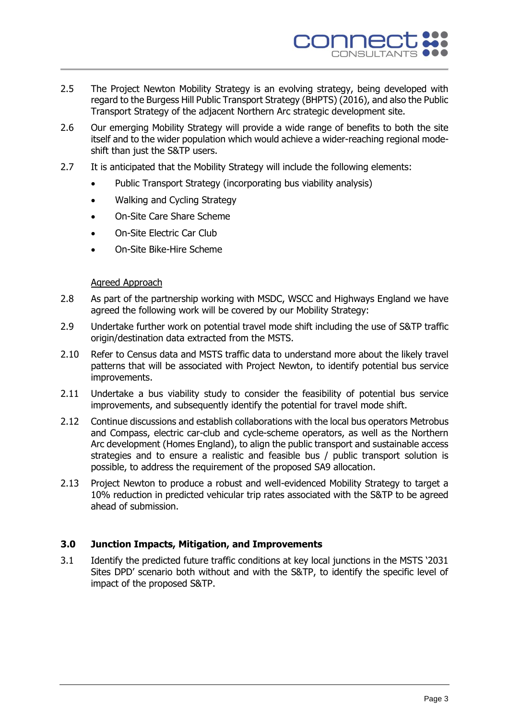

- 2.5 The Project Newton Mobility Strategy is an evolving strategy, being developed with regard to the Burgess Hill Public Transport Strategy (BHPTS) (2016), and also the Public Transport Strategy of the adjacent Northern Arc strategic development site.
- 2.6 Our emerging Mobility Strategy will provide a wide range of benefits to both the site itself and to the wider population which would achieve a wider-reaching regional modeshift than just the S&TP users.
- 2.7 It is anticipated that the Mobility Strategy will include the following elements:
	- Public Transport Strategy (incorporating bus viability analysis)
	- Walking and Cycling Strategy
	- On-Site Care Share Scheme
	- On-Site Electric Car Club
	- On-Site Bike-Hire Scheme

### Agreed Approach

- 2.8 As part of the partnership working with MSDC, WSCC and Highways England we have agreed the following work will be covered by our Mobility Strategy:
- 2.9 Undertake further work on potential travel mode shift including the use of S&TP traffic origin/destination data extracted from the MSTS.
- 2.10 Refer to Census data and MSTS traffic data to understand more about the likely travel patterns that will be associated with Project Newton, to identify potential bus service improvements.
- 2.11 Undertake a bus viability study to consider the feasibility of potential bus service improvements, and subsequently identify the potential for travel mode shift.
- 2.12 Continue discussions and establish collaborations with the local bus operators Metrobus and Compass, electric car-club and cycle-scheme operators, as well as the Northern Arc development (Homes England), to align the public transport and sustainable access strategies and to ensure a realistic and feasible bus / public transport solution is possible, to address the requirement of the proposed SA9 allocation.
- 2.13 Project Newton to produce a robust and well-evidenced Mobility Strategy to target a 10% reduction in predicted vehicular trip rates associated with the S&TP to be agreed ahead of submission.

### **3.0 Junction Impacts, Mitigation, and Improvements**

3.1 Identify the predicted future traffic conditions at key local junctions in the MSTS '2031 Sites DPD' scenario both without and with the S&TP, to identify the specific level of impact of the proposed S&TP.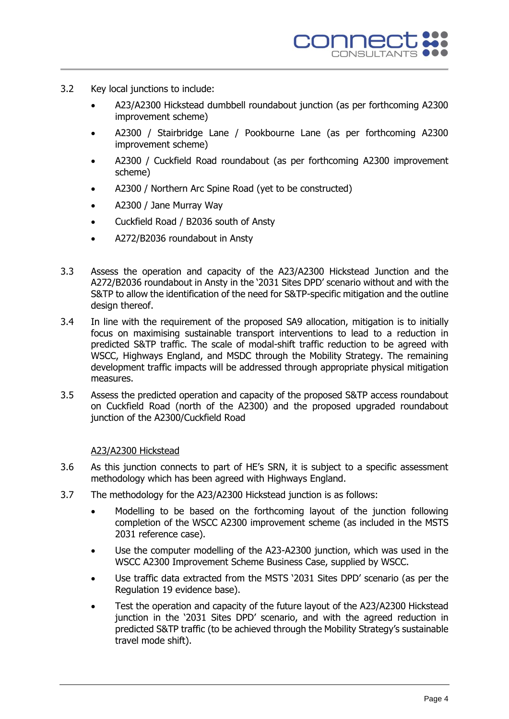- 3.2 Key local junctions to include:
	- A23/A2300 Hickstead dumbbell roundabout junction (as per forthcoming A2300 improvement scheme)
	- A2300 / Stairbridge Lane / Pookbourne Lane (as per forthcoming A2300 improvement scheme)
	- A2300 / Cuckfield Road roundabout (as per forthcoming A2300 improvement scheme)
	- A2300 / Northern Arc Spine Road (yet to be constructed)
	- A2300 / Jane Murray Way
	- Cuckfield Road / B2036 south of Ansty
	- A272/B2036 roundabout in Ansty
- 3.3 Assess the operation and capacity of the A23/A2300 Hickstead Junction and the A272/B2036 roundabout in Ansty in the '2031 Sites DPD' scenario without and with the S&TP to allow the identification of the need for S&TP-specific mitigation and the outline design thereof.
- 3.4 In line with the requirement of the proposed SA9 allocation, mitigation is to initially focus on maximising sustainable transport interventions to lead to a reduction in predicted S&TP traffic. The scale of modal-shift traffic reduction to be agreed with WSCC, Highways England, and MSDC through the Mobility Strategy. The remaining development traffic impacts will be addressed through appropriate physical mitigation measures.
- 3.5 Assess the predicted operation and capacity of the proposed S&TP access roundabout on Cuckfield Road (north of the A2300) and the proposed upgraded roundabout junction of the A2300/Cuckfield Road

### A23/A2300 Hickstead

- 3.6 As this junction connects to part of HE's SRN, it is subject to a specific assessment methodology which has been agreed with Highways England.
- 3.7 The methodology for the A23/A2300 Hickstead junction is as follows:
	- Modelling to be based on the forthcoming layout of the junction following completion of the WSCC A2300 improvement scheme (as included in the MSTS 2031 reference case).
	- Use the computer modelling of the A23-A2300 junction, which was used in the WSCC A2300 Improvement Scheme Business Case, supplied by WSCC.
	- Use traffic data extracted from the MSTS '2031 Sites DPD' scenario (as per the Regulation 19 evidence base).
	- Test the operation and capacity of the future layout of the A23/A2300 Hickstead junction in the '2031 Sites DPD' scenario, and with the agreed reduction in predicted S&TP traffic (to be achieved through the Mobility Strategy's sustainable travel mode shift).